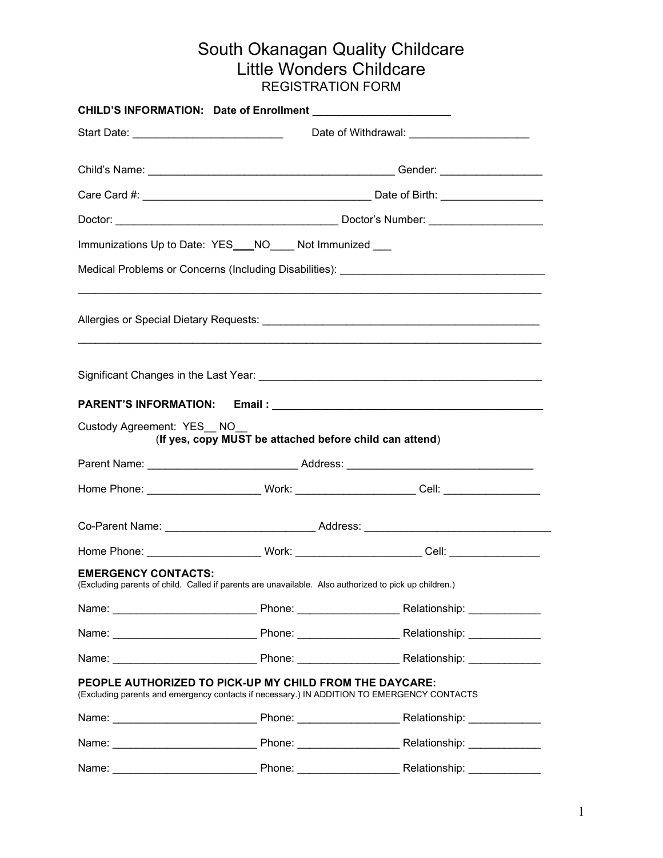## South Okanagan Quality Childcare Little Wonders Childcare REGISTRATION FORM

| Start Date: ________________________________                                                                                                          |                                                         | Date of Withdrawal: _______________________                                                           |  |
|-------------------------------------------------------------------------------------------------------------------------------------------------------|---------------------------------------------------------|-------------------------------------------------------------------------------------------------------|--|
|                                                                                                                                                       |                                                         |                                                                                                       |  |
|                                                                                                                                                       |                                                         |                                                                                                       |  |
|                                                                                                                                                       |                                                         |                                                                                                       |  |
| Immunizations Up to Date: YES___NO____ Not Immunized ___                                                                                              |                                                         |                                                                                                       |  |
|                                                                                                                                                       |                                                         |                                                                                                       |  |
|                                                                                                                                                       |                                                         |                                                                                                       |  |
|                                                                                                                                                       |                                                         |                                                                                                       |  |
|                                                                                                                                                       |                                                         |                                                                                                       |  |
| Custody Agreement: YES NO                                                                                                                             | (If yes, copy MUST be attached before child can attend) |                                                                                                       |  |
|                                                                                                                                                       |                                                         |                                                                                                       |  |
|                                                                                                                                                       |                                                         | Home Phone: _______________________ Work: _______________________Cell: ____________________           |  |
|                                                                                                                                                       |                                                         |                                                                                                       |  |
|                                                                                                                                                       |                                                         | Home Phone: _________________________Work: _________________________Cell: __________________________  |  |
| <b>EMERGENCY CONTACTS:</b>                                                                                                                            |                                                         | (Excluding parents of child. Called if parents are unavailable. Also authorized to pick up children.) |  |
|                                                                                                                                                       |                                                         |                                                                                                       |  |
|                                                                                                                                                       |                                                         |                                                                                                       |  |
|                                                                                                                                                       |                                                         |                                                                                                       |  |
| PEOPLE AUTHORIZED TO PICK-UP MY CHILD FROM THE DAYCARE:<br>(Excluding parents and emergency contacts if necessary.) IN ADDITION TO EMERGENCY CONTACTS |                                                         |                                                                                                       |  |
|                                                                                                                                                       |                                                         |                                                                                                       |  |
|                                                                                                                                                       |                                                         |                                                                                                       |  |
|                                                                                                                                                       |                                                         |                                                                                                       |  |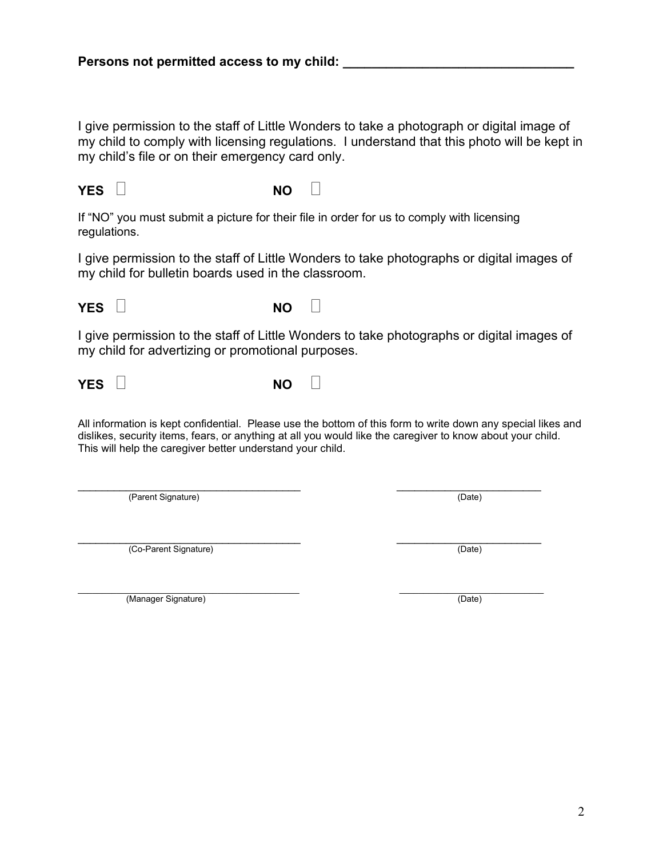2

**YES b NO b** 

**YES**  $\Box$  **NO**  $\Box$ 

I give permission to the staff of Little Wonders to take a photograph or digital image of my child to comply with licensing regulations. I understand that this photo will be kept in my child's file or on their emergency card only.

If "NO" you must submit a picture for their file in order for us to comply with licensing regulations.

I give permission to the staff of Little Wonders to take photographs or digital images of my child for bulletin boards used in the classroom.

I give permission to the staff of Little Wonders to take photographs or digital images of my child for advertizing or promotional purposes.

All information is kept confidential. Please use the bottom of this form to write down any special likes and dislikes, security items, fears, or anything at all you would like the caregiver to know about your child. This will help the caregiver better understand your child.

\_\_\_\_\_\_\_\_\_\_\_\_\_\_\_\_\_\_\_\_\_\_\_\_\_\_\_\_\_\_\_\_\_\_\_\_\_ \_\_\_\_\_\_\_\_\_\_\_\_\_\_\_\_\_\_\_\_\_\_\_\_ (Parent Signature) (Date)

\_\_\_\_\_\_\_\_\_\_\_\_\_\_\_\_\_\_\_\_\_\_\_\_\_\_\_\_\_\_\_\_\_\_\_\_\_ \_\_\_\_\_\_\_\_\_\_\_\_\_\_\_\_\_\_\_\_\_\_\_\_ (Co-Parent Signature) (Date)

\_\_\_\_\_\_\_\_\_\_\_\_\_\_\_\_\_\_\_\_\_\_\_\_\_\_\_\_\_\_\_\_\_\_\_\_\_\_\_\_\_\_\_\_\_\_ \_\_\_\_\_\_\_\_\_\_\_\_\_\_\_\_\_\_\_\_\_\_\_\_\_\_\_\_\_\_ (Manager Signature) (Date)

**YES**  $\Box$  **NO**  $\Box$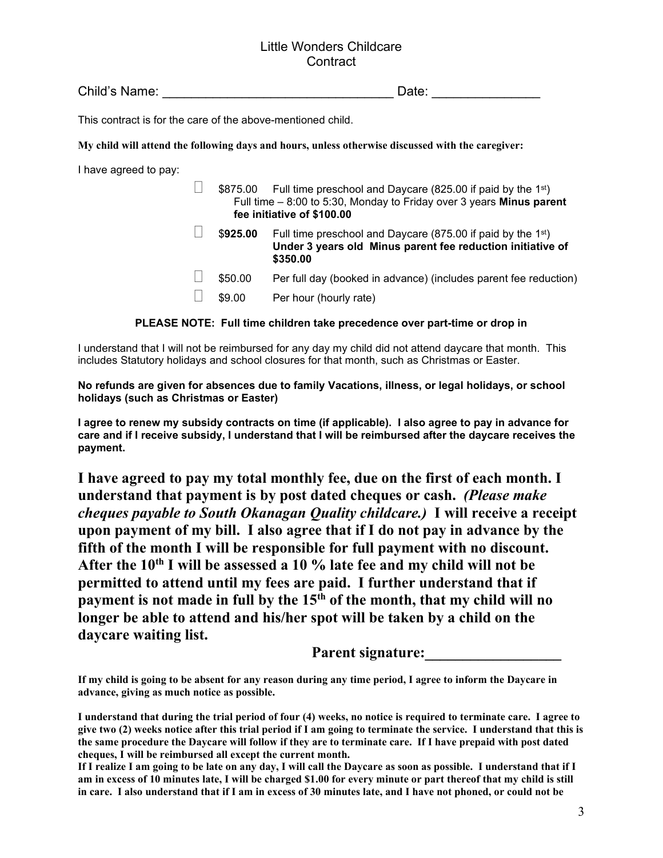### Little Wonders Childcare **Contract**

Child's Name: \_\_\_\_\_\_\_\_\_\_\_\_\_\_\_\_\_\_\_\_\_\_\_\_\_\_\_\_\_\_\_\_ Date: \_\_\_\_\_\_\_\_\_\_\_\_\_\_\_

This contract is for the care of the above-mentioned child.

**My child will attend the following days and hours, unless otherwise discussed with the caregiver:**

I have agreed to pay:

 $\Box$  \$875.00 Full time preschool and Daycare (825.00 if paid by the 1<sup>st</sup>) Full time – 8:00 to 5:30, Monday to Friday over 3 years **Minus parent fee initiative of \$100.00**

- $\Box$  \$925.00 Full time preschool and Daycare (875.00 if paid by the 1<sup>st</sup>) **Under 3 years old Minus parent fee reduction initiative of \$350.00**
- $\Box$  \$50.00 Per full day (booked in advance) (includes parent fee reduction)
- $\Box$  \$9.00 Per hour (hourly rate)

#### **PLEASE NOTE: Full time children take precedence over part-time or drop in**

I understand that I will not be reimbursed for any day my child did not attend daycare that month. This includes Statutory holidays and school closures for that month, such as Christmas or Easter.

#### **No refunds are given for absences due to family Vacations, illness, or legal holidays, or school holidays (such as Christmas or Easter)**

**I agree to renew my subsidy contracts on time (if applicable). I also agree to pay in advance for care and if I receive subsidy, I understand that I will be reimbursed after the daycare receives the payment.**

**I have agreed to pay my total monthly fee, due on the first of each month. I understand that payment is by post dated cheques or cash.** *(Please make cheques payable to South Okanagan Quality childcare.)* **I will receive a receipt upon payment of my bill. I also agree that if I do not pay in advance by the fifth of the month I will be responsible for full payment with no discount. After the 10th I will be assessed a 10 % late fee and my child will not be permitted to attend until my fees are paid. I further understand that if payment is not made in full by the 15th of the month, that my child will no longer be able to attend and his/her spot will be taken by a child on the daycare waiting list.**

Parent signature:

**If my child is going to be absent for any reason during any time period, I agree to inform the Daycare in advance, giving as much notice as possible.**

**I understand that during the trial period of four (4) weeks, no notice is required to terminate care. I agree to give two (2) weeks notice after this trial period if I am going to terminate the service. I understand that this is the same procedure the Daycare will follow if they are to terminate care. If I have prepaid with post dated cheques, I will be reimbursed all except the current month.**

**If I realize I am going to be late on any day, I will call the Daycare as soon as possible. I understand that if I am in excess of 10 minutes late, I will be charged \$1.00 for every minute or part thereof that my child is still in care. I also understand that if I am in excess of 30 minutes late, and I have not phoned, or could not be**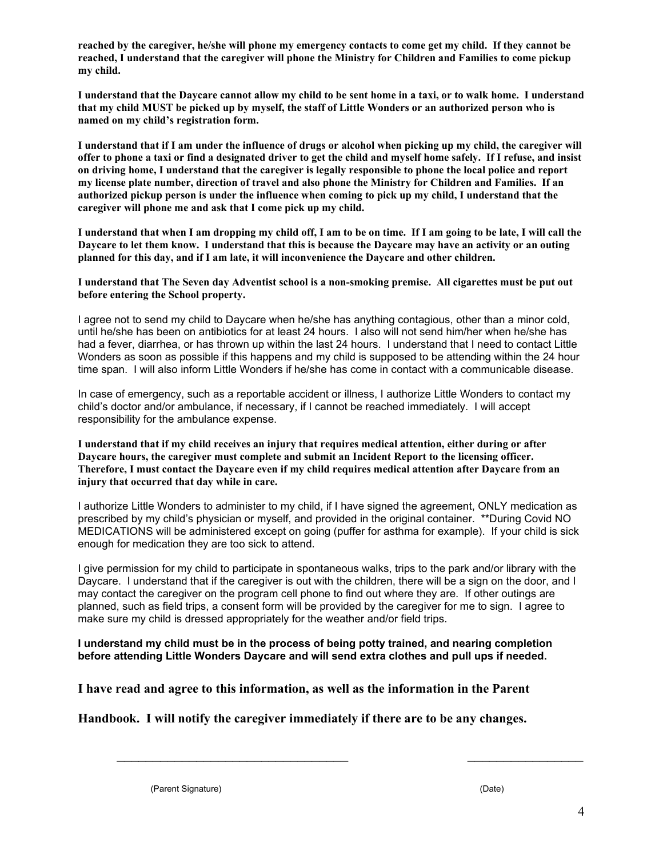**reached by the caregiver, he/she will phone my emergency contacts to come get my child. If they cannot be reached, I understand that the caregiver will phone the Ministry for Children and Families to come pickup my child.**

**I understand that the Daycare cannot allow my child to be sent home in a taxi, or to walk home. I understand that my child MUST be picked up by myself, the staff of Little Wonders or an authorized person who is named on my child's registration form.**

**I understand that if I am under the influence of drugs or alcohol when picking up my child, the caregiver will offer to phone a taxi or find a designated driver to get the child and myself home safely. If I refuse, and insist on driving home, I understand that the caregiver is legally responsible to phone the local police and report my license plate number, direction of travel and also phone the Ministry for Children and Families. If an authorized pickup person is under the influence when coming to pick up my child, I understand that the caregiver will phone me and ask that I come pick up my child.**

**I understand that when I am dropping my child off, I am to be on time. If I am going to be late, I will call the Daycare to let them know. I understand that this is because the Daycare may have an activity or an outing planned for this day, and if I am late, it will inconvenience the Daycare and other children.**

**I understand that The Seven day Adventist school is a non-smoking premise. All cigarettes must be put out before entering the School property.**

I agree not to send my child to Daycare when he/she has anything contagious, other than a minor cold, until he/she has been on antibiotics for at least 24 hours. I also will not send him/her when he/she has had a fever, diarrhea, or has thrown up within the last 24 hours. I understand that I need to contact Little Wonders as soon as possible if this happens and my child is supposed to be attending within the 24 hour time span. I will also inform Little Wonders if he/she has come in contact with a communicable disease.

In case of emergency, such as a reportable accident or illness, I authorize Little Wonders to contact my child's doctor and/or ambulance, if necessary, if I cannot be reached immediately. I will accept responsibility for the ambulance expense.

**I understand that if my child receives an injury that requires medical attention, either during or after Daycare hours, the caregiver must complete and submit an Incident Report to the licensing officer. Therefore, I must contact the Daycare even if my child requires medical attention after Daycare from an injury that occurred that day while in care.**

I authorize Little Wonders to administer to my child, if I have signed the agreement, ONLY medication as prescribed by my child's physician or myself, and provided in the original container. \*\*During Covid NO MEDICATIONS will be administered except on going (puffer for asthma for example). If your child is sick enough for medication they are too sick to attend.

I give permission for my child to participate in spontaneous walks, trips to the park and/or library with the Daycare. I understand that if the caregiver is out with the children, there will be a sign on the door, and I may contact the caregiver on the program cell phone to find out where they are. If other outings are planned, such as field trips, a consent form will be provided by the caregiver for me to sign. I agree to make sure my child is dressed appropriately for the weather and/or field trips.

\_\_\_\_\_\_\_\_\_\_\_\_\_\_\_\_\_\_\_\_\_\_\_\_\_\_\_\_\_\_\_\_ \_\_\_\_\_\_\_\_\_\_\_\_\_\_\_\_

**I understand my child must be in the process of being potty trained, and nearing completion before attending Little Wonders Daycare and will send extra clothes and pull ups if needed.**

**I have read and agree to this information, as well as the information in the Parent** 

**Handbook. I will notify the caregiver immediately if there are to be any changes.**

(Parent Signature) (Date)